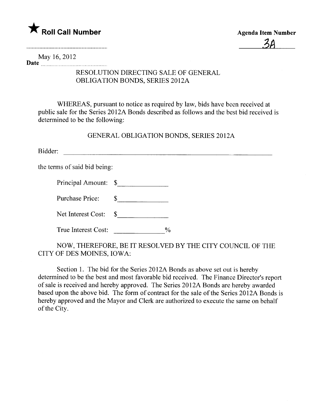

May 16,2012 Date <u>music music music music music</u>

## RESOLUTION DIRECTING SALE OF GENERAL OBLIGATION BONDS, SERIES 2012A

WHEREAS, pursuant to notice as required by law, bids have been received at public sale for the Series 2012A Bonds described as follows and the best bid received is determined to be the following:

GENERAL OBLIGATION BONDS, SERIES 2012A

Bidder:

the terms of said bid being:

| Principal Amount: \$ |  |
|----------------------|--|
|                      |  |

Purchase Price: \$

Net Interest Cost:  $\$$ 

NOW, THEREFORE, BE IT RESOLVED BY THE CITY COUNCIL OF THE CITY OF DES MOINES, IOWA:

Section 1. The bid for the Series 2012A Bonds as above set out is hereby determined to be the best and most favorable bid received. The Finance Director's report of sale is received and hereby approved. The Series 201 2A Bonds are hereby awarded based upon the above bid. The form of contract for the sale of the Series 2012A Bonds is hereby approved and the Mayor and Clerk are authorized to execute the same on behalf of the City.